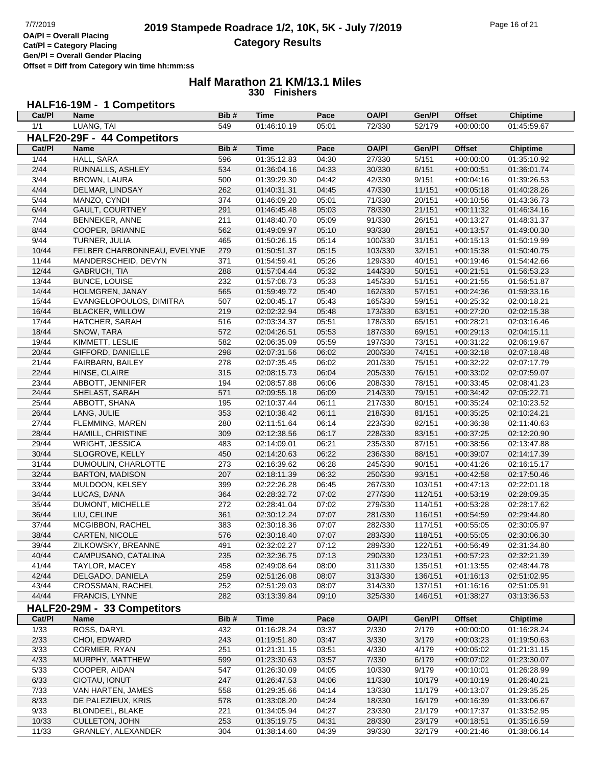**Cat/Pl = Category Placing Gen/Pl = Overall Gender Placing**

**Offset = Diff from Category win time hh:mm:ss**

#### **Half Marathon 21 KM/13.1 Miles 330 Finishers**

# **HALF16-19M - 1 Competitors**

| Cat/PI                      | Name                        | Bib# | <b>Time</b> | Pace  | <b>OA/PI</b> | Gen/Pl  | <b>Offset</b> | <b>Chiptime</b> |  |
|-----------------------------|-----------------------------|------|-------------|-------|--------------|---------|---------------|-----------------|--|
| 1/1                         | LUANG, TAI                  | 549  | 01:46:10.19 | 05:01 | 72/330       | 52/179  | $+00:00:00$   | 01:45:59.67     |  |
| HALF20-29F - 44 Competitors |                             |      |             |       |              |         |               |                 |  |
| Cat/PI                      | <b>Name</b>                 | Bib# | <b>Time</b> | Pace  | <b>OA/PI</b> | Gen/Pl  | <b>Offset</b> | <b>Chiptime</b> |  |
| 1/44                        | HALL, SARA                  | 596  | 01:35:12.83 | 04:30 | 27/330       | 5/151   | $+00:00:00$   | 01:35:10.92     |  |
| 2/44                        | RUNNALLS, ASHLEY            | 534  | 01:36:04.16 | 04:33 | 30/330       | 6/151   | $+00:00:51$   | 01:36:01.74     |  |
| 3/44                        | <b>BROWN, LAURA</b>         | 500  | 01:39:29.30 | 04:42 | 42/330       | 9/151   | $+00:04:16$   | 01:39:26.53     |  |
| 4/44                        | DELMAR, LINDSAY             | 262  | 01:40:31.31 | 04:45 | 47/330       | 11/151  | $+00:05:18$   | 01:40:28.26     |  |
| $\frac{5}{44}$              | MANZO, CYNDI                | 374  | 01:46:09.20 | 05:01 | 71/330       | 20/151  | $+00:10:56$   | 01:43:36.73     |  |
| 6/44                        | GAULT, COURTNEY             | 291  | 01:46:45.48 | 05:03 | 78/330       | 21/151  | $+00:11:32$   | 01:46:34.16     |  |
| 7/44                        | BENNEKER, ANNE              | 211  | 01:48:40.70 | 05:09 | 91/330       | 26/151  | $+00:13:27$   | 01:48:31.37     |  |
| 8/44                        | COOPER, BRIANNE             | 562  | 01:49:09.97 | 05:10 | 93/330       | 28/151  | $+00:13:57$   | 01:49:00.30     |  |
| 9/44                        | TURNER, JULIA               | 465  | 01:50:26.15 | 05:14 | 100/330      | 31/151  | $+00:15:13$   | 01:50:19.99     |  |
| 10/44                       | FELBER CHARBONNEAU, EVELYNE | 279  | 01:50:51.37 | 05:15 | 103/330      | 32/151  | $+00:15:38$   | 01:50:40.75     |  |
| 11/44                       | MANDERSCHEID, DEVYN         | 371  | 01:54:59.41 | 05:26 | 129/330      | 40/151  | $+00:19:46$   | 01:54:42.66     |  |
| 12/44                       | GABRUCH, TIA                | 288  | 01:57:04.44 | 05:32 | 144/330      | 50/151  | $+00:21:51$   | 01:56:53.23     |  |
| 13/44                       | <b>BUNCE, LOUISE</b>        | 232  | 01:57:08.73 | 05:33 | 145/330      | 51/151  | $+00:21:55$   | 01:56:51.87     |  |
| 14/44                       |                             | 565  |             |       |              |         |               |                 |  |
|                             | HOLMGREN, JANAY             |      | 01:59:49.72 | 05:40 | 162/330      | 57/151  | $+00:24:36$   | 01:59:33.16     |  |
| 15/44                       | EVANGELOPOULOS, DIMITRA     | 507  | 02:00:45.17 | 05:43 | 165/330      | 59/151  | $+00:25:32$   | 02:00:18.21     |  |
| 16/44                       | <b>BLACKER, WILLOW</b>      | 219  | 02:02:32.94 | 05:48 | 173/330      | 63/151  | $+00:27:20$   | 02:02:15.38     |  |
| 17/44                       | HATCHER, SARAH              | 516  | 02:03:34.37 | 05:51 | 178/330      | 65/151  | $+00:28:21$   | 02:03:16.46     |  |
| 18/44                       | SNOW, TARA                  | 572  | 02:04:26.51 | 05:53 | 187/330      | 69/151  | $+00:29:13$   | 02:04:15.11     |  |
| 19/44                       | KIMMETT, LESLIE             | 582  | 02:06:35.09 | 05:59 | 197/330      | 73/151  | $+00:31:22$   | 02:06:19.67     |  |
| 20/44                       | GIFFORD, DANIELLE           | 298  | 02:07:31.56 | 06:02 | 200/330      | 74/151  | $+00:32:18$   | 02:07:18.48     |  |
| 21/44                       | FAIRBARN, BAILEY            | 278  | 02:07:35.45 | 06:02 | 201/330      | 75/151  | $+00:32:22$   | 02:07:17.79     |  |
| 22/44                       | HINSE, CLAIRE               | 315  | 02:08:15.73 | 06:04 | 205/330      | 76/151  | $+00:33:02$   | 02:07:59.07     |  |
| 23/44                       | ABBOTT, JENNIFER            | 194  | 02:08:57.88 | 06:06 | 208/330      | 78/151  | $+00:33:45$   | 02:08:41.23     |  |
| 24/44                       | SHELAST, SARAH              | 571  | 02:09:55.18 | 06:09 | 214/330      | 79/151  | $+00:34:42$   | 02:05:22.71     |  |
| 25/44                       | ABBOTT, SHANA               | 195  | 02:10:37.44 | 06:11 | 217/330      | 80/151  | $+00:35:24$   | 02:10:23.52     |  |
| 26/44                       | LANG, JULIE                 | 353  | 02:10:38.42 | 06:11 | 218/330      | 81/151  | $+00:35:25$   | 02:10:24.21     |  |
| 27/44                       | <b>FLEMMING, MAREN</b>      | 280  | 02:11:51.64 | 06:14 | 223/330      | 82/151  | $+00:36:38$   | 02:11:40.63     |  |
| 28/44                       | HAMILL, CHRISTINE           | 309  | 02:12:38.56 | 06:17 | 228/330      | 83/151  | $+00:37:25$   | 02:12:20.90     |  |
| 29/44                       | WRIGHT, JESSICA             | 483  | 02:14:09.01 | 06:21 | 235/330      | 87/151  | $+00:38:56$   | 02:13:47.88     |  |
| 30/44                       | SLOGROVE, KELLY             | 450  | 02:14:20.63 | 06:22 | 236/330      | 88/151  | $+00:39:07$   | 02:14:17.39     |  |
| 31/44                       | DUMOULIN, CHARLOTTE         | 273  | 02:16:39.62 | 06:28 | 245/330      | 90/151  | $+00:41:26$   | 02:16:15.17     |  |
| 32/44                       | <b>BARTON, MADISON</b>      | 207  | 02:18:11.39 | 06:32 | 250/330      | 93/151  | $+00:42:58$   | 02:17:50.46     |  |
| 33/44                       | MULDOON, KELSEY             | 399  | 02:22:26.28 | 06:45 | 267/330      | 103/151 | $+00:47:13$   | 02:22:01.18     |  |
| 34/44                       | LUCAS, DANA                 | 364  | 02:28:32.72 | 07:02 | 277/330      | 112/151 | $+00:53:19$   | 02:28:09.35     |  |
| 35/44                       | DUMONT, MICHELLE            | 272  | 02:28:41.04 | 07:02 | 279/330      | 114/151 | $+00:53:28$   | 02:28:17.62     |  |
| 36/44                       | LIU, CELINE                 | 361  | 02:30:12.24 | 07:07 | 281/330      | 116/151 | $+00:54:59$   | 02:29:44.80     |  |
| 37/44                       | MCGIBBON, RACHEL            | 383  | 02:30:18.36 | 07:07 | 282/330      | 117/151 | $+00:55:05$   | 02:30:05.97     |  |
| 38/44                       | CARTEN, NICOLE              | 576  | 02:30:18.40 | 07:07 | 283/330      | 118/151 | $+00.55.05$   | 02:30:06.30     |  |
| 39/44                       | ZILKOWSKY, BREANNE          | 491  | 02:32:02.27 | 07:12 | 289/330      | 122/151 | $+00:56:49$   | 02:31:34.80     |  |
| 40/44                       | CAMPUSANO, CATALINA         | 235  | 02:32:36.75 | 07:13 | 290/330      | 123/151 | $+00.57:23$   | 02:32:21.39     |  |
| 41/44                       | TAYLOR, MACEY               | 458  | 02:49:08.64 | 08:00 | 311/330      | 135/151 | $+01:13:55$   | 02:48:44.78     |  |
| 42/44                       | DELGADO, DANIELA            | 259  | 02:51:26.08 | 08:07 | 313/330      | 136/151 | $+01:16:13$   | 02:51:02.95     |  |
| 43/44                       | CROSSMAN, RACHEL            | 252  | 02:51:29.03 | 08:07 | 314/330      | 137/151 | $+01:16:16$   | 02:51:05.91     |  |
| 44/44                       | <b>FRANCIS, LYNNE</b>       | 282  | 03:13:39.84 | 09:10 | 325/330      | 146/151 | $+01:38:27$   | 03:13:36.53     |  |
|                             | HALF20-29M - 33 Competitors |      |             |       |              |         |               |                 |  |
| Cat/PI                      | Name                        | Bib# | <b>Time</b> | Pace  | <b>OA/PI</b> | Gen/Pl  | <b>Offset</b> | <b>Chiptime</b> |  |
| 1/33                        | ROSS, DARYL                 | 432  | 01:16:28.24 | 03:37 | 2/330        | 2/179   | $+00:00:00$   | 01:16:28.24     |  |
| 2/33                        | CHOI, EDWARD                | 243  | 01:19:51.80 | 03:47 | 3/330        | 3/179   | $+00:03:23$   | 01:19:50.63     |  |
| 3/33                        | CORMIER, RYAN               | 251  | 01:21:31.15 | 03:51 | 4/330        | 4/179   | $+00:05:02$   | 01:21:31.15     |  |
| 4/33                        | MURPHY, MATTHEW             | 599  | 01:23:30.63 | 03:57 | 7/330        | 6/179   | $+00:07:02$   | 01:23:30.07     |  |
| 5/33                        | COOPER, AIDAN               | 547  | 01:26:30.09 | 04:05 | 10/330       | 9/179   | $+00:10:01$   | 01:26:28.99     |  |
| 6/33                        | CIOTAU, IONUT               | 247  | 01:26:47.53 | 04:06 | 11/330       | 10/179  | $+00:10:19$   | 01:26:40.21     |  |
| 7/33                        | VAN HARTEN, JAMES           | 558  | 01:29:35.66 | 04:14 | 13/330       | 11/179  | $+00:13:07$   | 01:29:35.25     |  |
| 8/33                        | DE PALEZIEUX, KRIS          | 578  | 01:33:08.20 | 04:24 | 18/330       | 16/179  | $+00:16:39$   | 01:33:06.67     |  |
| 9/33                        | <b>BLONDEEL, BLAKE</b>      | 221  | 01:34:05.94 | 04:27 | 23/330       | 21/179  | +00:17:37     | 01:33:52.95     |  |
| 10/33                       | CULLETON, JOHN              | 253  | 01:35:19.75 | 04:31 | 28/330       | 23/179  | $+00:18:51$   | 01:35:16.59     |  |
| 11/33                       | GRANLEY, ALEXANDER          | 304  | 01:38:14.60 | 04:39 | 39/330       | 32/179  | $+00:21:46$   | 01:38:06.14     |  |
|                             |                             |      |             |       |              |         |               |                 |  |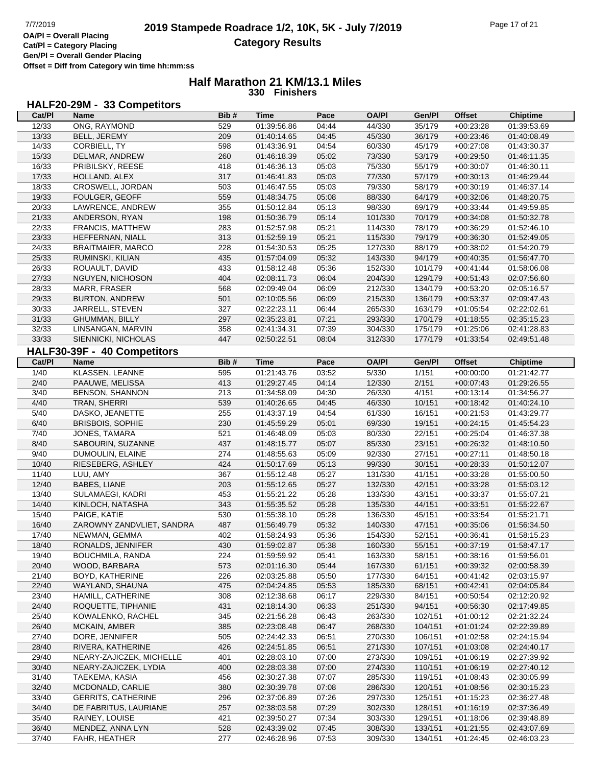**Gen/Pl = Overall Gender Placing Offset = Diff from Category win time hh:mm:ss**

### **Half Marathon 21 KM/13.1 Miles 330 Finishers**

### **HALF20-29M - 33 Competitors**

| Cat/PI       | Name                          | Bib#       | <b>Time</b>                | Pace           | <b>OA/PI</b>      | Gen/Pl           | <b>Offset</b>              | <b>Chiptime</b>            |
|--------------|-------------------------------|------------|----------------------------|----------------|-------------------|------------------|----------------------------|----------------------------|
| 12/33        | ONG, RAYMOND                  | 529        | 01:39:56.86                | 04:44          | 44/330            | 35/179           | $+00:23:28$                | 01:39:53.69                |
| 13/33        | BELL, JEREMY                  | 209        | 01:40:14.65                | 04:45          | 45/330            | 36/179           | $+00:23:46$                | 01:40:08.49                |
| 14/33        | CORBIELL, TY                  | 598        | 01:43:36.91                | 04:54          | 60/330            | 45/179           | $+00:27:08$                | 01:43:30.37                |
| 15/33        | DELMAR, ANDREW                | 260        | 01:46:18.39                | 05:02          | 73/330            | 53/179           | $+00:29:50$                | 01:46:11.35                |
| 16/33        | PRIBILSKY, REESE              | 418        | 01:46:36.13                | 05:03          | 75/330            | 55/179           | $+00:30:07$                | 01:46:30.11                |
| 17/33        | HOLLAND, ALEX                 | 317        | 01:46:41.83                | 05:03          | 77/330            | 57/179           | $+00:30:13$                | 01:46:29.44                |
| 18/33        | CROSWELL, JORDAN              | 503        | 01:46:47.55                | 05:03          | 79/330            | 58/179           | $+00:30:19$                | 01:46:37.14                |
| 19/33        | FOULGER, GEOFF                | 559        | 01:48:34.75                | 05:08          | 88/330            | 64/179           | $+00:32:06$                | 01:48:20.75                |
| 20/33        | LAWRENCE, ANDREW              | 355        | 01:50:12.84                | 05:13          | 98/330            | 69/179           | $+00:33:44$                | 01:49:59.85                |
| 21/33        | ANDERSON, RYAN                | 198        | 01:50:36.79                | 05:14          | 101/330           | 70/179           | $+00:34:08$                | 01:50:32.78                |
| 22/33        | FRANCIS, MATTHEW              | 283        | 01:52:57.98                | 05:21          | 114/330           | 78/179           | $+00:36:29$                | 01:52:46.10                |
| 23/33        | HEFFERNAN, NIALL              | 313        | 01:52:59.19                | 05:21          | 115/330           | 79/179           | $+00:36:30$                | 01:52:49.05                |
| 24/33        | <b>BRAITMAIER, MARCO</b>      | 228        | 01:54:30.53                | 05:25          | 127/330           | 88/179           | $+00:38:02$                | 01:54:20.79                |
| 25/33        | RUMINSKI, KILIAN              | 435        | 01:57:04.09                | 05:32          | 143/330           | 94/179           | $+00:40:35$                | 01:56:47.70                |
| 26/33        | ROUAULT, DAVID                | 433        | 01:58:12.48                | 05:36          | 152/330           | 101/179          | $+00:41:44$                | 01:58:06.08                |
| 27/33        | NGUYEN, NICHOSON              | 404        | 02:08:11.73                | 06:04          | 204/330           | 129/179          | $+00:51:43$                | 02:07:56.60                |
| 28/33        | MARR, FRASER                  | 568        | 02:09:49.04                | 06:09          | 212/330           | 134/179          | $+00:53:20$                | 02:05:16.57                |
| 29/33        | <b>BURTON, ANDREW</b>         | 501        | 02:10:05.56                | 06:09          | 215/330           | 136/179          | $+00:53:37$                | 02:09:47.43                |
| 30/33        | JARRELL, STEVEN               | 327        | 02:22:23.11                | 06:44          | 265/330           | 163/179          | $+01:05:54$                | 02:22:02.61                |
| 31/33        | <b>GHUMMAN, BILLY</b>         | 297        | 02:35:23.81                | 07:21          | 293/330           | 170/179          | $+01:18:55$                | 02:35:15.23                |
| 32/33        | LINSANGAN, MARVIN             | 358        | 02:41:34.31                | 07:39          | 304/330           | 175/179          | $+01:25:06$                | 02:41:28.83                |
| 33/33        | SIENNICKI, NICHOLAS           | 447        | 02:50:22.51                | 08:04          | 312/330           | 177/179          | $+01:33:54$                | 02:49:51.48                |
|              | HALF30-39F - 40 Competitors   |            |                            |                |                   |                  |                            |                            |
| Cat/PI       | <b>Name</b>                   | Bib#       | <b>Time</b>                | Pace           | <b>OA/PI</b>      | Gen/Pl           | <b>Offset</b>              | <b>Chiptime</b>            |
|              |                               | 595        |                            | 03:52          | 5/330             | 1/151            |                            |                            |
| 1/40<br>2/40 | KLASSEN, LEANNE               | 413        | 01:21:43.76<br>01:29:27.45 | 04:14          |                   | 2/151            | $+00:00:00$<br>$+00:07:43$ | 01:21:42.77                |
|              | PAAUWE, MELISSA               |            |                            | 04:30          | 12/330<br>26/330  | 4/151            |                            | 01:29:26.55                |
| 3/40         | <b>BENSON, SHANNON</b>        | 213        | 01:34:58.09                |                |                   |                  | $+00:13:14$                | 01:34:56.27                |
| 4/40         | TRAN, SHERRI                  | 539        | 01:40:26.65                | 04:45          | 46/330            | 10/151           | $+00:18:42$                | 01:40:24.10                |
| 5/40         | DASKO, JEANETTE               | 255        | 01:43:37.19                | 04:54          | 61/330            | 16/151           | $+00:21:53$                | 01:43:29.77                |
| 6/40         | <b>BRISBOIS, SOPHIE</b>       | 230        | 01:45:59.29                | 05:01          | 69/330            | 19/151           | $+00:24:15$                | 01:45:54.23                |
| 7/40         | JONES, TAMARA                 | 521        | 01:46:48.09                | 05:03          | 80/330            | 22/151           | $+00:25:04$                | 01:46:37.38                |
| 8/40<br>9/40 | SABOURIN, SUZANNE             | 437<br>274 | 01:48:15.77                | 05:07          | 85/330            | 23/151           | $+00:26:32$                | 01:48:10.50                |
| 10/40        | DUMOULIN, ELAINE              | 424        | 01:48:55.63                | 05:09          | 92/330            | 27/151           | $+00:27:11$                | 01:48:50.18                |
| 11/40        | RIESEBERG, ASHLEY<br>LUU, AMY | 367        | 01:50:17.69<br>01:55:12.48 | 05:13<br>05:27 | 99/330<br>131/330 | 30/151<br>41/151 | $+00:28:33$<br>$+00:33:28$ | 01:50:12.07<br>01:55:00.50 |
| 12/40        | <b>BABES, LIANE</b>           | 203        | 01:55:12.65                | 05:27          | 132/330           | 42/151           | $+00:33:28$                | 01:55:03.12                |
| 13/40        | SULAMAEGI, KADRI              | 453        | 01:55:21.22                | 05:28          | 133/330           | 43/151           | $+00:33:37$                | 01:55:07.21                |
| 14/40        | KINLOCH, NATASHA              | 343        | 01:55:35.52                | 05:28          | 135/330           | 44/151           | $+00:33:51$                | 01:55:22.67                |
| 15/40        | PAIGE, KATIE                  | 530        | 01:55:38.10                | 05:28          | 136/330           | 45/151           | $+00:33:54$                | 01:55:21.71                |
| 16/40        | ZAROWNY ZANDVLIET, SANDRA     | 487        | 01:56:49.79                | 05:32          | 140/330           | 47/151           | $+00:35:06$                | 01:56:34.50                |
| 17/40        | NEWMAN, GEMMA                 | 402        | 01:58:24.93                | 05:36          | 154/330           | 52/151           | $+00:36:41$                | 01:58:15.23                |
| 18/40        | RONALDS, JENNIFER             | 430        | 01:59:02.87                | 05:38          | 160/330           | 55/151           | $+00:37:19$                | 01:58:47.17                |
| 19/40        | BOUCHMILA, RANDA              | 224        | 01:59:59.92                | 05:41          | 163/330           | 58/151           | $+00.38:16$                | 01:59:56.01                |
| 20/40        | WOOD, BARBARA                 | 573        | 02:01:16.30                | 05:44          | 167/330           | 61/151           | $+00:39:32$                | 02:00:58.39                |
| 21/40        | BOYD, KATHERINE               | 226        | 02:03:25.88                | 05:50          | 177/330           | 64/151           | $+00:41:42$                | 02:03:15.97                |
| 22/40        | WAYLAND, SHAUNA               | 475        | 02:04:24.85                | 05:53          | 185/330           | 68/151           | $+00:42:41$                | 02:04:05.84                |
| 23/40        | HAMILL, CATHERINE             | 308        | 02:12:38.68                | 06:17          | 229/330           | 84/151           |                            |                            |
| 24/40        | ROQUETTE, TIPHANIE            |            | 02:18:14.30                |                | 251/330           | 94/151           | $+00:50:54$<br>$+00:56:30$ | 02:12:20.92<br>02:17:49.85 |
| 25/40        | KOWALENKO, RACHEL             | 431<br>345 |                            | 06:33<br>06:43 | 263/330           | 102/151          |                            |                            |
| 26/40        | MCKAIN, AMBER                 | 385        | 02:21:56.28<br>02:23:08.48 | 06:47          | 268/330           | 104/151          | $+01:00:12$                | 02:21:32.24<br>02:22:39.89 |
| 27/40        | DORE, JENNIFER                | 505        | 02:24:42.33                |                | 270/330           | 106/151          | $+01:01:24$                |                            |
| 28/40        | RIVERA, KATHERINE             | 426        | 02:24:51.85                | 06:51<br>06:51 | 271/330           | 107/151          | $+01:02:58$<br>$+01:03:08$ | 02:24:15.94<br>02:24:40.17 |
| 29/40        | NEARY-ZAJICZEK, MICHELLE      | 401        |                            | 07:00          | 273/330           | 109/151          |                            |                            |
| 30/40        | NEARY-ZAJICZEK, LYDIA         | 400        | 02:28:03.10<br>02:28:03.38 | 07:00          | 274/330           | 110/151          | $+01:06:19$<br>$+01:06:19$ | 02:27:39.92<br>02:27:40.12 |
| 31/40        | TAEKEMA, KASIA                |            |                            | 07:07          | 285/330           | 119/151          |                            |                            |
| 32/40        | MCDONALD, CARLIE              | 456<br>380 | 02:30:27.38                | 07:08          | 286/330           | 120/151          | $+01:08:43$<br>$+01:08:56$ | 02:30:05.99<br>02:30:15.23 |
| 33/40        | <b>GERRITS, CATHERINE</b>     | 296        | 02:30:39.78                | 07:26          | 297/330           | 125/151          |                            |                            |
| 34/40        | DE FABRITUS, LAURIANE         | 257        | 02:37:06.89                | 07:29          | 302/330           | 128/151          | $+01:15:23$                | 02:36:27.48<br>02:37:36.49 |
| 35/40        | RAINEY, LOUISE                | 421        | 02:38:03.58                | 07:34          | 303/330           | 129/151          | $+01:16:19$                |                            |
| 36/40        | MENDEZ, ANNA LYN              | 528        | 02:39:50.27<br>02:43:39.02 | 07:45          | 308/330           | 133/151          | $+01:18:06$                | 02:39:48.89<br>02:43:07.69 |
| 37/40        | FAHR, HEATHER                 | 277        | 02:46:28.96                | 07:53          | 309/330           | 134/151          | $+01:21:55$<br>$+01:24:45$ | 02:46:03.23                |
|              |                               |            |                            |                |                   |                  |                            |                            |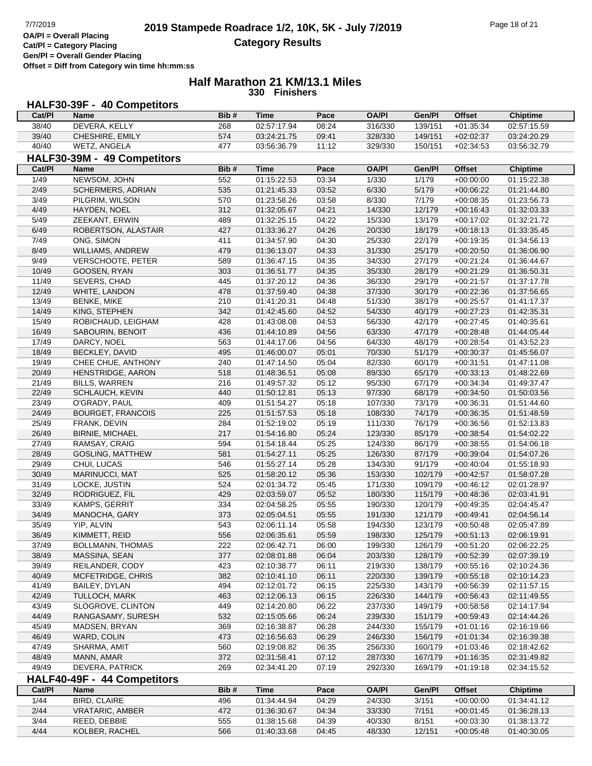**Gen/Pl = Overall Gender Placing**

**Offset = Diff from Category win time hh:mm:ss**

#### **Half Marathon 21 KM/13.1 Miles 330 Finishers**

# **HALF30-39F - 40 Competitors**

| Cat/PI         | Name                        | Bib#       | <b>Time</b>                | Pace  | <b>OA/PI</b>       | Gen/Pl             | <b>Offset</b>              | Chiptime                   |
|----------------|-----------------------------|------------|----------------------------|-------|--------------------|--------------------|----------------------------|----------------------------|
| 38/40          | DEVERA, KELLY               | 268        | 02:57:17.94                | 08:24 | 316/330            | 139/151            | $+01:35:34$                | 02:57:15.59                |
| 39/40          | CHESHIRE, EMILY             | 574        | 03:24:21.75                | 09:41 | 328/330            | 149/151            | $+02:02:37$                | 03:24:20.29                |
| 40/40          | WETZ, ANGELA                | 477        | 03:56:36.79                | 11:12 | 329/330            | 150/151            | $+02:34:53$                | 03:56:32.79                |
|                | HALF30-39M - 49 Competitors |            |                            |       |                    |                    |                            |                            |
| Cat/Pl         | <b>Name</b>                 | Bib#       | <b>Time</b>                | Pace  | <b>OA/PI</b>       | Gen/Pl             | <b>Offset</b>              | <b>Chiptime</b>            |
| 1/49           | NEWSOM, JOHN                | 552        | 01:15:22.53                | 03:34 | 1/330              | 1/179              | $+00:00:00$                | 01:15:22.38                |
| 2/49           | SCHERMERS, ADRIAN           | 535        | 01:21:45.33                | 03:52 | 6/330              | 5/179              | $+00:06:22$                | 01:21:44.80                |
| 3/49           | PILGRIM, WILSON             | 570        | 01:23:58.26                | 03:58 | 8/330              | 7/179              | $+00:08:35$                | 01:23:56.73                |
| 4/49           | HAYDEN, NOEL                | 312        | 01:32:05.67                | 04:21 | 14/330             | 12/179             | $+00:16:43$                | 01:32:03.33                |
| 5/49           | ZEEKANT, ERWIN              | 489        | 01:32:25.15                | 04:22 | 15/330             | 13/179             | $+00:17:02$                | 01:32:21.72                |
| 6/49           | ROBERTSON, ALASTAIR         | 427        | 01:33:36.27                | 04:26 | 20/330             | 18/179             | $+00:18:13$                | 01:33:35.45                |
| 7/49           | ONG, SIMON                  | 411        | 01:34:57.90                | 04:30 | 25/330             | 22/179             | $+00:19:35$                | 01:34:56.13                |
| 8/49           | WILLIAMS, ANDREW            | 479        | 01:36:13.07                | 04:33 | 31/330             | 25/179             | $+00:20:50$                | 01:36:06.90                |
| 9/49           | VERSCHOOTE, PETER           | 589        | 01:36:47.15                | 04:35 | 34/330             | 27/179             | $+00:21:24$                | 01:36:44.67                |
| 10/49          | GOOSEN, RYAN                | 303        | 01:36:51.77                | 04:35 | 35/330             | 28/179             | $+00:21:29$                | 01:36:50.31                |
| 11/49          | SEVERS, CHAD                | 445        | 01:37:20.12                | 04:36 | 36/330             | 29/179             | $+00:21:57$                | 01:37:17.78                |
| 12/49          | WHITE, LANDON               | 478        | 01:37:59.40                | 04:38 | 37/330             | 30/179             | $+00:22:36$                | 01:37:56.65                |
| 13/49          | <b>BENKE, MIKE</b>          | 210        | 01:41:20.31                | 04:48 | 51/330             | 38/179             | $+00:25:57$                | 01:41:17.37                |
| 14/49          | KING, STEPHEN               | 342        | 01:42:45.60                | 04:52 | 54/330             | 40/179             | $+00:27:23$                | 01:42:35.31                |
| 15/49          | ROBICHAUD, LEIGHAM          | 428        | 01:43:08.08                | 04:53 | 56/330             | 42/179             | $+00:27:45$                | 01:40:35.61                |
| 16/49          | SABOURIN, BENOIT            | 436        | 01:44:10.89                | 04:56 | 63/330             | 47/179             | $+00:28:48$                | 01:44:05.44                |
| 17/49          | DARCY, NOEL                 | 563        | 01:44:17.06                | 04:56 | 64/330             | 48/179             | $+00:28:54$                | 01:43:52.23                |
| 18/49          | BECKLEY, DAVID              | 495        | 01:46:00.07                | 05:01 | 70/330             | 51/179             | $+00:30:37$                | 01:45:56.07                |
| 19/49          | CHEE CHUE, ANTHONY          | 240        | 01:47:14.50                | 05:04 | 82/330             | 60/179             | $+00:31:51$                | 01:47:11.08                |
| 20/49          | HENSTRIDGE, AARON           | 518        | 01:48:36.51                | 05:08 | 89/330             | 65/179             | $+00:33:13$                | 01:48:22.69                |
| 21/49          | <b>BILLS, WARREN</b>        | 216        | 01:49:57.32                | 05:12 | 95/330             | 67/179             | $+00:34:34$                | 01:49:37.47                |
| 22/49          | SCHLAUCH, KEVIN             | 440        | 01:50:12.81                | 05:13 | 97/330             | 68/179             | $+00:34:50$                | 01:50:03.56                |
| 23/49          | O'GRADY, PAUL               | 409        | 01:51:54.27                | 05:18 | 107/330            | 73/179             | $+00:36:31$                | 01:51:44.60                |
| 24/49          | <b>BOURGET, FRANCOIS</b>    | 225        | 01:51:57.53                | 05:18 | 108/330            | 74/179             | $+00:36:35$                | 01:51:48.59                |
| 25/49          | FRANK, DEVIN                | 284        | 01:52:19.02                | 05:19 | 111/330            | 76/179             | $+00:36:56$                | 01:52:13.83                |
| 26/49          | <b>BIRNIE, MICHAEL</b>      | 217        | 01:54:16.80                | 05:24 | 123/330            | 85/179             | $+00:38:54$                | 01:54:02.22                |
| 27/49          | RAMSAY, CRAIG               | 594        | 01:54:18.44                | 05:25 | 124/330            | 86/179             | $+00:38:55$                | 01:54:06.18                |
| 28/49          | GOSLING, MATTHEW            | 581        | 01:54:27.11                | 05:25 | 126/330            | 87/179             | $+00:39:04$                | 01:54:07.26                |
| 29/49          | CHUI, LUCAS                 | 546        | 01:55:27.14                | 05:28 | 134/330            | 91/179             | $+00:40:04$                | 01:55:18.93                |
| 30/49          | MARINUCCI, MAT              | 525        | 01:58:20.12                | 05:36 | 153/330            | 102/179            | $+00:42:57$                | 01:58:07.28                |
| 31/49          | LOCKE, JUSTIN               | 524        | 02:01:34.72                | 05:45 | 171/330            | 109/179            | $+00:46:12$                | 02:01:28.97                |
| 32/49          | RODRIGUEZ, FIL              | 429        | 02:03:59.07                | 05:52 | 180/330            | 115/179            | $+00:48:36$                | 02:03:41.91                |
| 33/49          | KAMPS, GERRIT               | 334        | 02:04:58.25                | 05:55 | 190/330            | 120/179            | $+00:49:35$                | 02:04:45.47                |
| 34/49          | MANOCHA, GARY               | 373        | 02:05:04.51                | 05:55 | 191/330            | 121/179            | $+00.49.41$                | 02:04:56.14                |
| 35/49          | YIP, ALVIN                  | 543        | 02:06:11.14                | 05:58 | 194/330            | 123/179            | $+00:50:48$                | 02:05:47.89                |
| 36/49          | KIMMETT, REID               | 556        | 02:06:35.61                | 05:59 | 198/330            | 125/179            | $+00:51:13$                | 02:06:19.91                |
| 37/49          | <b>BOLLMANN, THOMAS</b>     | 222        | 02:06:42.71                | 06:00 | 199/330            | 126/179            | $+00:51:20$                | 02:06:22.25                |
| 38/49          | MASSINA, SEAN               | 377        | 02:08:01.88                | 06:04 | 203/330            | 128/179            | $+00:52:39$                | 02:07:39.19                |
| 39/49          | REILANDER, CODY             | 423        | 02:10:38.77                | 06:11 | 219/330            | 138/179            | $+00:55:16$                | 02:10:24.36                |
| 40/49          | MCFETRIDGE, CHRIS           | 382        | 02:10:41.10                | 06:11 | 220/330            | 139/179            | $+00:55:18$                | 02:10:14.23                |
| 41/49          | BAILEY, DYLAN               | 494        | 02:12:01.72                | 06:15 | 225/330            | 143/179            | $+00:56:39$                | 02:11:57.15                |
| 42/49          | TULLOCH, MARK               | 463        | 02:12:06.13                | 06:15 | 226/330            | 144/179            | $+00:56:43$                | 02:11:49.55                |
| 43/49          | SLOGROVE, CLINTON           | 449        | 02:14:20.80                | 06:22 | 237/330            | 149/179            | $+00:58:58$                | 02:14:17.94                |
| 44/49          | RANGASAMY, SURESH           | 532        | 02:15:05.66                | 06:24 | 239/330            | 151/179            | $+00:59:43$                | 02:14:44.26                |
| 45/49          | MADSEN, BRYAN               | 369        | 02:16:38.87                | 06:28 | 244/330            | 155/179            | $+01:01:16$                | 02:16:19.66                |
| 46/49          | WARD, COLIN                 | 473        |                            | 06:29 | 246/330            | 156/179            |                            |                            |
| 47/49          |                             | 560        | 02:16:56.63<br>02:19:08.82 | 06:35 | 256/330            | 160/179            | $+01:01:34$<br>$+01:03:46$ | 02:16:39.38<br>02:18:42.62 |
|                | SHARMA, AMIT                |            |                            |       |                    |                    |                            |                            |
| 48/49<br>49/49 | MANN, AMAR                  | 372<br>269 | 02:31:58.41                | 07:12 | 287/330<br>292/330 | 167/179<br>169/179 | $+01:16:35$                | 02:31:49.82                |
|                | DEVERA, PATRICK             |            | 02:34:41.20                | 07:19 |                    |                    | $+01:19:18$                | 02:34:15.52                |
|                | HALF40-49F - 44 Competitors |            |                            |       |                    |                    |                            |                            |
| Cat/PI         | Name                        | Bib#       | <b>Time</b>                | Pace  | <b>OA/PI</b>       | Gen/Pl             | <b>Offset</b>              | <b>Chiptime</b>            |
| 1/44           | <b>BIRD, CLAIRE</b>         | 496        | 01:34:44.94                | 04:29 | 24/330             | 3/151              | $+00:00:00$                | 01:34:41.12                |
| 2/44           | <b>VRATARIC, AMBER</b>      | 472        | 01:36:30.67                | 04:34 | 33/330             | 7/151              | $+00:01:45$                | 01:36:28.13                |
| 3/44           | REED, DEBBIE                | 555        | 01:38:15.68                | 04:39 | 40/330             | 8/151              | $+00:03:30$                | 01:38:13.72                |
| 4/44           | KOLBER, RACHEL              | 566        | 01:40:33.68                | 04:45 | 48/330             | 12/151             | $+00:05:48$                | 01:40:30.05                |
|                |                             |            |                            |       |                    |                    |                            |                            |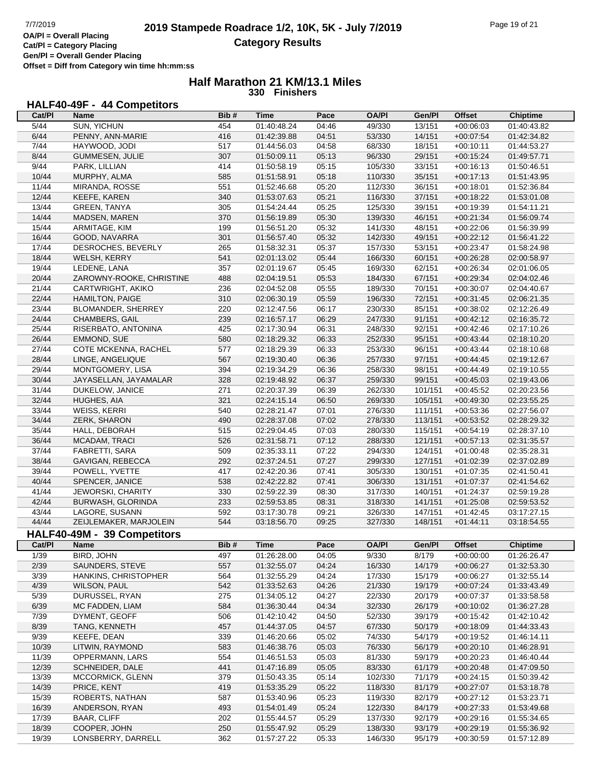г

**Cat/Pl = Category Placing Gen/Pl = Overall Gender Placing Offset = Diff from Category win time hh:mm:ss**

### **Half Marathon 21 KM/13.1 Miles 330 Finishers**

### **HALF40-49F - 44 Competitors**

| Cat/PI | Name                                | Bib# | Time        | Pace  | <b>OA/PI</b> | Gen/Pl  | <b>Offset</b>              | <b>Chiptime</b> |
|--------|-------------------------------------|------|-------------|-------|--------------|---------|----------------------------|-----------------|
| 5/44   | SUN, YICHUN                         | 454  | 01:40:48.24 | 04:46 | 49/330       | 13/151  | $+00:06:03$                | 01:40:43.82     |
| 6/44   | PENNY, ANN-MARIE                    | 416  | 01:42:39.88 | 04:51 | 53/330       | 14/151  | $+00:07:54$                | 01:42:34.82     |
| 7/44   | HAYWOOD, JODI                       | 517  | 01:44:56.03 | 04:58 | 68/330       | 18/151  | $+00:10:11$                | 01:44:53.27     |
| 8/44   | GUMMESEN, JULIE                     | 307  | 01:50:09.11 | 05:13 | 96/330       | 29/151  | $+00:15:24$                | 01:49:57.71     |
| 9/44   |                                     |      |             |       |              |         |                            | 01:50:46.51     |
|        | PARK, LILLIAN                       | 414  | 01:50:58.19 | 05:15 | 105/330      | 33/151  | $+00:16:13$                |                 |
| 10/44  | MURPHY, ALMA                        | 585  | 01:51:58.91 | 05:18 | 110/330      | 35/151  | $+00:17:13$                | 01:51:43.95     |
| 11/44  | MIRANDA, ROSSE                      | 551  | 01:52:46.68 | 05:20 | 112/330      | 36/151  | $+00:18:01$                | 01:52:36.84     |
| 12/44  | KEEFE, KAREN                        | 340  | 01:53:07.63 | 05:21 | 116/330      | 37/151  | $+00:18:22$                | 01:53:01.08     |
| 13/44  | <b>GREEN, TANYA</b>                 | 305  | 01:54:24.44 | 05:25 | 125/330      | 39/151  | $+00:19:39$                | 01:54:11.21     |
| 14/44  | MADSEN, MAREN                       | 370  | 01:56:19.89 | 05:30 | 139/330      | 46/151  | $+00:21:34$                | 01:56:09.74     |
| 15/44  | ARMITAGE, KIM                       | 199  | 01:56:51.20 | 05:32 | 141/330      | 48/151  | $+00:22:06$                | 01:56:39.99     |
| 16/44  | GOOD, NAVARRA                       | 301  | 01:56:57.40 | 05:32 | 142/330      | 49/151  | $+00:22:12$                | 01:56:41.22     |
| 17/44  | DESROCHES, BEVERLY                  | 265  | 01:58:32.31 | 05:37 | 157/330      | 53/151  | $+00:23:47$                | 01:58:24.98     |
| 18/44  | WELSH, KERRY                        | 541  | 02:01:13.02 | 05:44 | 166/330      | 60/151  | $+00:26:28$                | 02:00:58.97     |
| 19/44  | LEDENE, LANA                        | 357  | 02:01:19.67 | 05:45 | 169/330      | 62/151  | $+00:26:34$                | 02:01:06.05     |
| 20/44  | ZAROWNY-ROOKE, CHRISTINE            | 488  | 02:04:19.51 | 05:53 | 184/330      | 67/151  | $+00:29:34$                | 02:04:02.46     |
| 21/44  | CARTWRIGHT, AKIKO                   | 236  | 02:04:52.08 | 05:55 | 189/330      | 70/151  | $+00:30:07$                | 02:04:40.67     |
| 22/44  | <b>HAMILTON, PAIGE</b>              | 310  | 02:06:30.19 | 05:59 | 196/330      | 72/151  | $+00:31:45$                | 02:06:21.35     |
| 23/44  | BLOMANDER, SHERREY                  | 220  | 02:12:47.56 | 06:17 | 230/330      | 85/151  | $+00:38:02$                | 02:12:26.49     |
| 24/44  | CHAMBERS, GAIL                      | 239  | 02:16:57.17 | 06:29 | 247/330      | 91/151  | $+00:42:12$                | 02:16:35.72     |
| 25/44  |                                     |      |             |       |              |         |                            | 02:17:10.26     |
|        | RISERBATO, ANTONINA                 | 425  | 02:17:30.94 | 06:31 | 248/330      | 92/151  | $+00:42:46$                |                 |
| 26/44  | EMMOND, SUE                         | 580  | 02:18:29.32 | 06:33 | 252/330      | 95/151  | $+00:43:44$                | 02:18:10.20     |
| 27/44  | COTE MCKENNA, RACHEL                | 577  | 02:18:29.39 | 06:33 | 253/330      | 96/151  | $+00:43:44$                | 02:18:10.68     |
| 28/44  | LINGE, ANGELIQUE                    | 567  | 02:19:30.40 | 06:36 | 257/330      | 97/151  | $+00:44:45$                | 02:19:12.67     |
| 29/44  | MONTGOMERY, LISA                    | 394  | 02:19:34.29 | 06:36 | 258/330      | 98/151  | $+00:44:49$                | 02:19:10.55     |
| 30/44  | JAYASELLAN, JAYAMALAR               | 328  | 02:19:48.92 | 06:37 | 259/330      | 99/151  | $+00:45:03$                | 02:19:43.06     |
| 31/44  | DUKELOW, JANICE                     | 271  | 02:20:37.39 | 06:39 | 262/330      | 101/151 | $+00:45:52$                | 02:20:23.56     |
| 32/44  | HUGHES, AIA                         | 321  | 02:24:15.14 | 06:50 | 269/330      | 105/151 | $+00:49:30$                | 02:23:55.25     |
| 33/44  | WEISS, KERRI                        | 540  | 02:28:21.47 | 07:01 | 276/330      | 111/151 | $+00:53:36$                | 02:27:56.07     |
| 34/44  | ZERK, SHARON                        | 490  | 02:28:37.08 | 07:02 | 278/330      | 113/151 | $+00:53:52$                | 02:28:29.32     |
| 35/44  | HALL, DEBORAH                       | 515  | 02:29:04.45 | 07:03 | 280/330      | 115/151 | $+00:54:19$                | 02:28:37.10     |
| 36/44  | MCADAM, TRACI                       | 526  | 02:31:58.71 | 07:12 | 288/330      | 121/151 | $+00:57:13$                | 02:31:35.57     |
| 37/44  | FABRETTI, SARA                      | 509  | 02:35:33.11 | 07:22 | 294/330      | 124/151 | $+01:00:48$                | 02:35:28.31     |
| 38/44  | GAVIGAN, REBECCA                    | 292  | 02:37:24.51 | 07:27 | 299/330      | 127/151 | $+01:02:39$                | 02:37:02.89     |
| 39/44  | POWELL, YVETTE                      | 417  | 02:42:20.36 | 07:41 | 305/330      | 130/151 | $+01:07:35$                | 02:41:50.41     |
| 40/44  | SPENCER, JANICE                     | 538  | 02:42:22.82 | 07:41 | 306/330      | 131/151 | $+01:07:37$                | 02:41:54.62     |
| 41/44  | <b>JEWORSKI, CHARITY</b>            | 330  | 02:59:22.39 | 08:30 | 317/330      | 140/151 | $+01:24:37$                | 02:59:19.28     |
| 42/44  |                                     | 233  | 02:59:53.85 | 08:31 | 318/330      | 141/151 | $+01:25:08$                | 02:59:53.52     |
| 43/44  | BURWASH, GLORINDA<br>LAGORE, SUSANN |      |             |       |              |         |                            |                 |
|        |                                     | 592  | 03:17:30.78 | 09:21 | 326/330      | 147/151 | $+01:42:45$                | 03:17:27.15     |
| 44/44  | ZEIJLEMAKER, MARJOLEIN              | 544  | 03:18:56.70 | 09:25 | 327/330      | 148/151 | $+01:44:11$                | 03:18:54.55     |
|        | HALF40-49M - 39 Competitors         |      |             |       |              |         |                            |                 |
| Cat/PI | Name                                | Bib# | <b>Time</b> | Pace  | <b>OA/PI</b> | Gen/Pl  | <b>Offset</b>              | <b>Chiptime</b> |
| 1/39   | BIRD, JOHN                          | 497  | 01:26:28.00 | 04:05 | 9/330        | 8/179   | $+00:00:00$                | 01:26:26.47     |
| 2/39   | SAUNDERS, STEVE                     | 557  | 01:32:55.07 | 04:24 | 16/330       | 14/179  | $+00:06:27$                | 01:32:53.30     |
| 3/39   | <b>HANKINS, CHRISTOPHER</b>         | 564  | 01:32:55.29 | 04:24 | 17/330       | 15/179  | $+00:06:27$                | 01:32:55.14     |
| 4/39   | <b>WILSON, PAUL</b>                 | 542  | 01:33:52.63 | 04:26 | 21/330       | 19/179  | $+00:07:24$                | 01:33:43.49     |
| 5/39   | DURUSSEL, RYAN                      | 275  | 01:34:05.12 | 04:27 | 22/330       | 20/179  | $+00:07:37$                | 01:33:58.58     |
| 6/39   | MC FADDEN, LIAM                     | 584  | 01:36:30.44 | 04:34 | 32/330       | 26/179  | $+00:10:02$                | 01:36:27.28     |
| 7/39   | DYMENT, GEOFF                       | 506  | 01:42:10.42 | 04:50 | 52/330       | 39/179  | $+00:15:42$                | 01:42:10.42     |
| 8/39   | TANG, KENNETH                       | 457  | 01:44:37.05 | 04:57 | 67/330       | 50/179  | $+00:18:09$                | 01:44:33.43     |
| 9/39   | KEEFE, DEAN                         | 339  | 01:46:20.66 | 05:02 | 74/330       | 54/179  | $+00:19:52$                | 01:46:14.11     |
| 10/39  | LITWIN, RAYMOND                     | 583  | 01:46:38.76 | 05:03 | 76/330       | 56/179  |                            | 01:46:28.91     |
| 11/39  |                                     |      |             |       |              |         | $+00:20:10$<br>$+00:20:23$ |                 |
|        | OPPERMANN, LARS                     | 554  | 01:46:51.53 | 05:03 | 81/330       | 59/179  |                            | 01:46:40.44     |
| 12/39  | SCHNEIDER, DALE                     | 441  | 01:47:16.89 | 05:05 | 83/330       | 61/179  | $+00:20:48$                | 01:47:09.50     |
| 13/39  | <b>MCCORMICK, GLENN</b>             | 379  | 01:50:43.35 | 05:14 | 102/330      | 71/179  | $+00:24:15$                | 01:50:39.42     |
| 14/39  | PRICE, KENT                         | 419  | 01:53:35.29 | 05:22 | 118/330      | 81/179  | $+00:27:07$                | 01:53:18.78     |
| 15/39  | ROBERTS, NATHAN                     | 587  | 01:53:40.96 | 05:23 | 119/330      | 82/179  | $+00:27:12$                | 01:53:23.71     |
| 16/39  | ANDERSON, RYAN                      | 493  | 01:54:01.49 | 05:24 | 122/330      | 84/179  | $+00:27:33$                | 01:53:49.68     |
| 17/39  | <b>BAAR, CLIFF</b>                  | 202  | 01:55:44.57 | 05:29 | 137/330      | 92/179  | $+00:29:16$                | 01:55:34.65     |
| 18/39  | COOPER, JOHN                        | 250  | 01:55:47.92 | 05:29 | 138/330      | 93/179  | $+00:29:19$                | 01:55:36.92     |
| 19/39  | LONSBERRY, DARRELL                  | 362  | 01:57:27.22 | 05:33 | 146/330      | 95/179  | $+00:30:59$                | 01:57:12.89     |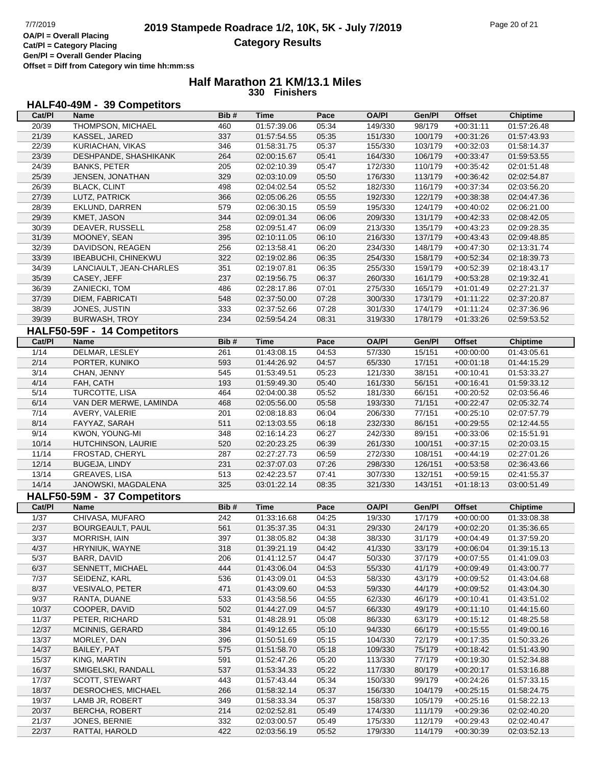**Gen/Pl = Overall Gender Placing Offset = Diff from Category win time hh:mm:ss**

#### **Half Marathon 21 KM/13.1 Miles 330 Finishers**

### **HALF40-49M - 39 Competitors**

| Cat/PI | <b>Name</b>                 | Bib# | <b>Time</b> | Pace  | <b>OA/PI</b> | Gen/Pl  | <b>Offset</b> | <b>Chiptime</b> |
|--------|-----------------------------|------|-------------|-------|--------------|---------|---------------|-----------------|
| 20/39  | THOMPSON, MICHAEL           | 460  | 01:57:39.06 | 05:34 | 149/330      | 98/179  | $+00:31:11$   | 01:57:26.48     |
| 21/39  | KASSEL, JARED               | 337  | 01:57:54.55 | 05:35 | 151/330      | 100/179 | $+00:31:26$   | 01:57:43.93     |
| 22/39  | KURIACHAN, VIKAS            | 346  | 01:58:31.75 | 05:37 | 155/330      | 103/179 | $+00:32:03$   | 01:58:14.37     |
| 23/39  | DESHPANDE, SHASHIKANK       | 264  | 02:00:15.67 | 05:41 | 164/330      | 106/179 | $+00:33:47$   | 01:59:53.55     |
| 24/39  | <b>BANKS, PETER</b>         | 205  | 02:02:10.39 | 05:47 | 172/330      | 110/179 | $+00:35:42$   | 02:01:51.48     |
| 25/39  | JENSEN, JONATHAN            | 329  | 02:03:10.09 | 05:50 | 176/330      | 113/179 | $+00:36:42$   | 02:02:54.87     |
| 26/39  | <b>BLACK, CLINT</b>         | 498  | 02:04:02.54 | 05:52 | 182/330      | 116/179 | $+00:37:34$   | 02:03:56.20     |
| 27/39  | LUTZ, PATRICK               | 366  | 02:05:06.26 | 05:55 | 192/330      | 122/179 | $+00:38:38$   | 02:04:47.36     |
| 28/39  | EKLUND, DARREN              | 579  | 02:06:30.15 | 05:59 | 195/330      | 124/179 | $+00:40:02$   | 02:06:21.00     |
| 29/39  | KMET, JASON                 | 344  | 02:09:01.34 | 06:06 | 209/330      | 131/179 | $+00:42:33$   | 02:08:42.05     |
| 30/39  | DEAVER, RUSSELL             | 258  | 02:09:51.47 | 06:09 | 213/330      | 135/179 | $+00:43:23$   | 02:09:28.35     |
| 31/39  | MOONEY, SEAN                | 395  | 02:10:11.05 | 06:10 | 216/330      | 137/179 | $+00:43:43$   | 02:09:48.85     |
| 32/39  | DAVIDSON, REAGEN            | 256  | 02:13:58.41 | 06:20 | 234/330      | 148/179 | $+00:47:30$   | 02:13:31.74     |
| 33/39  | IBEABUCHI, CHINEKWU         | 322  | 02:19:02.86 | 06:35 | 254/330      | 158/179 | $+00:52:34$   | 02:18:39.73     |
| 34/39  | LANCIAULT, JEAN-CHARLES     | 351  | 02:19:07.81 | 06:35 | 255/330      | 159/179 | $+00:52:39$   | 02:18:43.17     |
| 35/39  | CASEY, JEFF                 | 237  | 02:19:56.75 | 06:37 | 260/330      | 161/179 | $+00:53:28$   | 02:19:32.41     |
| 36/39  | ZANIECKI, TOM               | 486  | 02:28:17.86 | 07:01 | 275/330      | 165/179 | $+01:01:49$   | 02:27:21.37     |
| 37/39  | DIEM, FABRICATI             | 548  | 02:37:50.00 | 07:28 | 300/330      | 173/179 | $+01:11:22$   | 02:37:20.87     |
| 38/39  | JONES, JUSTIN               | 333  | 02:37:52.66 | 07:28 | 301/330      | 174/179 | $+01:11:24$   | 02:37:36.96     |
| 39/39  | <b>BURWASH, TROY</b>        | 234  | 02:59:54.24 | 08:31 | 319/330      | 178/179 | $+01:33:26$   | 02:59:53.52     |
|        | HALF50-59F - 14 Competitors |      |             |       |              |         |               |                 |
|        |                             | Bib# | <b>Time</b> |       | <b>OA/PI</b> |         |               |                 |
| Cat/PI | Name                        |      |             | Pace  |              | Gen/Pl  | <b>Offset</b> | <b>Chiptime</b> |
| 1/14   | DELMAR, LESLEY              | 261  | 01:43:08.15 | 04:53 | 57/330       | 15/151  | $+00:00:00$   | 01:43:05.61     |
| 2/14   | PORTER, KUNIKO              | 593  | 01:44:26.92 | 04:57 | 65/330       | 17/151  | $+00:01:18$   | 01:44:15.29     |
| 3/14   | CHAN, JENNY                 | 545  | 01:53:49.51 | 05:23 | 121/330      | 38/151  | $+00:10:41$   | 01:53:33.27     |
| 4/14   | FAH, CATH                   | 193  | 01:59:49.30 | 05:40 | 161/330      | 56/151  | $+00:16:41$   | 01:59:33.12     |
| 5/14   | TURCOTTE, LISA              | 464  | 02:04:00.38 | 05:52 | 181/330      | 66/151  | $+00:20:52$   | 02:03:56.46     |
| 6/14   | VAN DER MERWE, LAMINDA      | 468  | 02:05:56.00 | 05:58 | 193/330      | 71/151  | $+00:22:47$   | 02:05:32.74     |
| 7/14   | AVERY, VALERIE              | 201  | 02:08:18.83 | 06:04 | 206/330      | 77/151  | $+00:25:10$   | 02:07:57.79     |
| 8/14   | FAYYAZ, SARAH               | 511  | 02:13:03.55 | 06:18 | 232/330      | 86/151  | $+00:29:55$   | 02:12:44.55     |
| 9/14   | KWON, YOUNG-MI              | 348  | 02:16:14.23 | 06:27 | 242/330      | 89/151  | $+00:33:06$   | 02:15:51.91     |
| 10/14  | HUTCHINSON, LAURIE          | 520  | 02:20:23.25 | 06:39 | 261/330      | 100/151 | $+00:37:15$   | 02:20:03.15     |
| 11/14  | FROSTAD, CHERYL             | 287  | 02:27:27.73 | 06:59 | 272/330      | 108/151 | $+00:44:19$   | 02:27:01.26     |
| 12/14  | <b>BUGEJA, LINDY</b>        | 231  | 02:37:07.03 | 07:26 | 298/330      | 126/151 | $+00:53:58$   | 02:36:43.66     |
| 13/14  | GREAVES, LISA               | 513  | 02:42:23.57 | 07:41 | 307/330      | 132/151 | $+00:59:15$   | 02:41:55.37     |
| 14/14  | JANOWSKI, MAGDALENA         | 325  | 03:01:22.14 | 08:35 | 321/330      | 143/151 | $+01:18:13$   | 03:00:51.49     |
|        | HALF50-59M - 37 Competitors |      |             |       |              |         |               |                 |
| Cat/PI | Name                        | Bib# | <b>Time</b> | Pace  | <b>OA/PI</b> | Gen/Pl  | <b>Offset</b> | <b>Chiptime</b> |
| 1/37   | CHIVASA, MUFARO             | 242  | 01:33:16.68 | 04:25 | 19/330       | 17/179  | $+00:00:00$   | 01:33:08.38     |
| 2/37   | BOURGEAULT, PAUL            | 561  | 01:35:37.35 | 04:31 | 29/330       | 24/179  | $+00:02:20$   | 01:35:36.65     |
| 3/37   | MORRISH, IAIN               | 397  | 01:38:05.82 | 04:38 | 38/330       | 31/179  | $+00.04:49$   | 01:37:59.20     |
| 4/37   | HRYNIUK, WAYNE              | 318  | 01:39:21.19 | 04:42 | 41/330       | 33/179  | +00:06:04     | 01:39:15.13     |
| 5/37   | BARR, DAVID                 | 206  | 01:41:12.57 | 04:47 | 50/330       | 37/179  | $+00:07:55$   | 01:41:09.03     |
| 6/37   | SENNETT, MICHAEL            | 444  | 01:43:06.04 | 04:53 | 55/330       | 41/179  | $+00:09:49$   | 01:43:00.77     |
| 7/37   | SEIDENZ, KARL               | 536  | 01:43:09.01 | 04:53 | 58/330       | 43/179  | $+00:09:52$   | 01:43:04.68     |
| 8/37   | <b>VESIVALO, PETER</b>      | 471  | 01:43:09.60 | 04:53 | 59/330       | 44/179  | $+00:09:52$   | 01:43:04.30     |
| 9/37   | RANTA, DUANE                | 533  | 01:43:58.56 | 04:55 | 62/330       | 46/179  | $+00:10:41$   | 01:43:51.02     |
| 10/37  | COOPER, DAVID               | 502  | 01:44:27.09 | 04:57 | 66/330       | 49/179  | $+00:11:10$   | 01:44:15.60     |
| 11/37  | PETER, RICHARD              | 531  | 01:48:28.91 | 05:08 | 86/330       | 63/179  | $+00:15:12$   | 01:48:25.58     |
| 12/37  | MCINNIS, GERARD             | 384  | 01:49:12.65 | 05:10 | 94/330       | 66/179  | $+00:15:55$   | 01:49:00.16     |
| 13/37  | MORLEY, DAN                 | 396  | 01:50:51.69 | 05:15 | 104/330      | 72/179  | $+00:17:35$   | 01:50:33.26     |
| 14/37  | BAILEY, PAT                 | 575  | 01:51:58.70 | 05:18 | 109/330      | 75/179  | $+00:18:42$   | 01:51:43.90     |
| 15/37  | KING, MARTIN                | 591  | 01:52:47.26 | 05:20 | 113/330      | 77/179  | $+00:19:30$   | 01:52:34.88     |
| 16/37  | SMIGELSKI, RANDALL          | 537  | 01:53:34.33 | 05:22 | 117/330      | 80/179  | $+00:20:17$   | 01:53:16.88     |
| 17/37  | SCOTT, STEWART              | 443  | 01:57:43.44 | 05:34 | 150/330      | 99/179  | $+00:24:26$   | 01:57:33.15     |
| 18/37  | DESROCHES, MICHAEL          | 266  | 01:58:32.14 | 05:37 | 156/330      | 104/179 | $+00:25:15$   | 01:58:24.75     |
| 19/37  | LAMB JR, ROBERT             | 349  | 01:58:33.34 | 05:37 | 158/330      | 105/179 | $+00:25:16$   | 01:58:22.13     |
| 20/37  | <b>BERCHA, ROBERT</b>       | 214  | 02:02:52.81 | 05:49 | 174/330      | 111/179 | $+00:29:36$   | 02:02:40.20     |
| 21/37  | JONES, BERNIE               | 332  | 02:03:00.57 | 05:49 | 175/330      | 112/179 | $+00:29:43$   | 02:02:40.47     |
| 22/37  | RATTAI, HAROLD              | 422  | 02:03:56.19 | 05:52 | 179/330      | 114/179 | $+00:30:39$   | 02:03:52.13     |